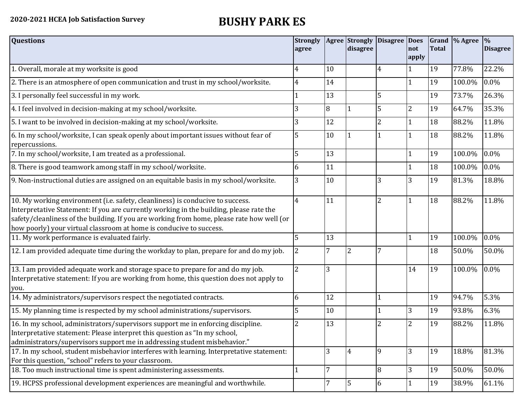## **2020-2021 HCEA Job Satisfaction Survey BUSHY PARK ES**

| <b>Questions</b>                                                                                                                                                                                                                                                                                                                               | <b>Strongly</b><br>agree |    | <b>Agree Strongly</b><br>disagree | Disagree   Does | not<br>apply   | <b>Total</b> | Grand \% Agree | $\frac{9}{6}$<br><b>Disagree</b> |
|------------------------------------------------------------------------------------------------------------------------------------------------------------------------------------------------------------------------------------------------------------------------------------------------------------------------------------------------|--------------------------|----|-----------------------------------|-----------------|----------------|--------------|----------------|----------------------------------|
| 1. Overall, morale at my worksite is good                                                                                                                                                                                                                                                                                                      | 4                        | 10 |                                   | 4               |                | 19           | 77.8%          | 22.2%                            |
| 2. There is an atmosphere of open communication and trust in my school/worksite.                                                                                                                                                                                                                                                               | $\overline{4}$           | 14 |                                   |                 | 1              | 19           | 100.0%         | 0.0%                             |
| 3. I personally feel successful in my work.                                                                                                                                                                                                                                                                                                    |                          | 13 |                                   | 5               |                | 19           | 73.7%          | 26.3%                            |
| 4. I feel involved in decision-making at my school/worksite.                                                                                                                                                                                                                                                                                   | 3                        | 8  |                                   | 5               | $\overline{2}$ | 19           | 64.7%          | 35.3%                            |
| 5. I want to be involved in decision-making at my school/worksite.                                                                                                                                                                                                                                                                             | $\overline{3}$           | 12 |                                   | $\overline{2}$  |                | 18           | 88.2%          | 11.8%                            |
| 6. In my school/worksite, I can speak openly about important issues without fear of<br>repercussions.                                                                                                                                                                                                                                          |                          | 10 |                                   |                 |                | 18           | 88.2%          | 11.8%                            |
| 7. In my school/worksite, I am treated as a professional.                                                                                                                                                                                                                                                                                      | 5                        | 13 |                                   |                 |                | 19           | 100.0%         | 0.0%                             |
| 8. There is good teamwork among staff in my school/worksite.                                                                                                                                                                                                                                                                                   | 6                        | 11 |                                   |                 |                | 18           | 100.0%         | $0.0\%$                          |
| 9. Non-instructional duties are assigned on an equitable basis in my school/worksite.                                                                                                                                                                                                                                                          | 3                        | 10 |                                   | 3               | 3              | 19           | 81.3%          | 18.8%                            |
| 10. My working environment (i.e. safety, cleanliness) is conducive to success.<br>Interpretative Statement: If you are currently working in the building, please rate the<br>safety/cleanliness of the building. If you are working from home, please rate how well (or<br>how poorly) your virtual classroom at home is conducive to success. | 4                        | 11 |                                   | 2               |                | 18           | 88.2%          | 11.8%                            |
| 11. My work performance is evaluated fairly.                                                                                                                                                                                                                                                                                                   | 5                        | 13 |                                   |                 |                | 19           | 100.0%         | 0.0%                             |
| 12. I am provided adequate time during the workday to plan, prepare for and do my job.                                                                                                                                                                                                                                                         |                          |    | 2                                 |                 |                | 18           | 50.0%          | 50.0%                            |
| 13. I am provided adequate work and storage space to prepare for and do my job.<br>Interpretative statement: If you are working from home, this question does not apply to<br>you.                                                                                                                                                             | $\overline{2}$           | 3  |                                   |                 | 14             | 19           | 100.0%         | 0.0%                             |
| 14. My administrators/supervisors respect the negotiated contracts.                                                                                                                                                                                                                                                                            | 6                        | 12 |                                   |                 |                | 19           | 94.7%          | 5.3%                             |
| 15. My planning time is respected by my school administrations/supervisors.                                                                                                                                                                                                                                                                    |                          | 10 |                                   |                 | 3              | 19           | 93.8%          | 6.3%                             |
| 16. In my school, administrators/supervisors support me in enforcing discipline.<br>Interpretative statement: Please interpret this question as "In my school,<br>administrators/supervisors support me in addressing student misbehavior."                                                                                                    |                          | 13 |                                   |                 | $\overline{2}$ | 19           | 88.2%          | 11.8%                            |
| 17. In my school, student misbehavior interferes with learning. Interpretative statement:<br>For this question, "school" refers to your classroom.                                                                                                                                                                                             |                          | 3  | $\overline{4}$                    | 9               | 3              | 19           | 18.8%          | 81.3%                            |
| 18. Too much instructional time is spent administering assessments.                                                                                                                                                                                                                                                                            |                          | 7  |                                   | 8               | 3              | 19           | 50.0%          | 50.0%                            |
| 19. HCPSS professional development experiences are meaningful and worthwhile.                                                                                                                                                                                                                                                                  |                          | 7  | 5                                 | 6               |                | 19           | 38.9%          | 61.1%                            |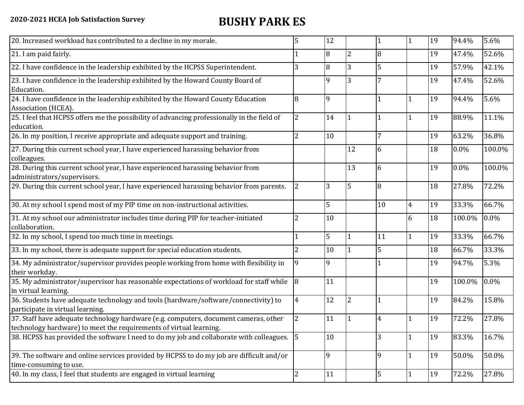| 20. Increased workload has contributed to a decline in my morale.                                                                                          | 5              | 12             |                |                |                | 19 | 94.4%  | 5.6%    |
|------------------------------------------------------------------------------------------------------------------------------------------------------------|----------------|----------------|----------------|----------------|----------------|----|--------|---------|
| 21. I am paid fairly.                                                                                                                                      |                | 8              | $\overline{2}$ | 8              |                | 19 | 47.4%  | 52.6%   |
| 22. I have confidence in the leadership exhibited by the HCPSS Superintendent.                                                                             | 3              | 8              | 3              | 5              |                | 19 | 57.9%  | 42.1%   |
| 23. I have confidence in the leadership exhibited by the Howard County Board of<br>Education.                                                              |                | 9              | 3              |                |                | 19 | 47.4%  | 52.6%   |
| 24. I have confidence in the leadership exhibited by the Howard County Education<br>Association (HCEA).                                                    | 8              | 9              |                |                |                | 19 | 94.4%  | 5.6%    |
| 25. I feel that HCPSS offers me the possibility of advancing professionally in the field of<br>education.                                                  | $\overline{2}$ | 14             |                |                |                | 19 | 88.9%  | 11.1%   |
| 26. In my position, I receive appropriate and adequate support and training.                                                                               | $\overline{2}$ | 10             |                | 7              |                | 19 | 63.2%  | 36.8%   |
| 27. During this current school year, I have experienced harassing behavior from<br>colleagues.                                                             |                |                | 12             | 6              |                | 18 | 0.0%   | 100.0%  |
| 28. During this current school year, I have experienced harassing behavior from<br>administrators/supervisors.                                             |                |                | 13             | 6              |                | 19 | 0.0%   | 100.0%  |
| 29. During this current school year, I have experienced harassing behavior from parents.                                                                   | $\overline{2}$ | 3              | 5              | 8              |                | 18 | 27.8%  | 72.2%   |
| 30. At my school I spend most of my PIP time on non-instructional activities.                                                                              |                | 5              |                | 10             | $\overline{4}$ | 19 | 33.3%  | 66.7%   |
| 31. At my school our administrator includes time during PIP for teacher-initiated<br>collaboration.                                                        | 2              | 10             |                |                | 6              | 18 | 100.0% | $0.0\%$ |
| 32. In my school, I spend too much time in meetings.                                                                                                       |                | 5              |                | 11             |                | 19 | 33.3%  | 66.7%   |
| 33. In my school, there is adequate support for special education students.                                                                                | 2              | 10             |                | 5              |                | 18 | 66.7%  | 33.3%   |
| 34. My administrator/supervisor provides people working from home with flexibility in<br>their workday.                                                    | 9              | 9              |                |                |                | 19 | 94.7%  | 5.3%    |
| 35. My administrator/supervisor has reasonable expectations of workload for staff while<br>in virtual learning.                                            | 8              | 11             |                |                |                | 19 | 100.0% | 0.0%    |
| 36. Students have adequate technology and tools (hardware/software/connectivity) to<br>participate in virtual learning.                                    | 4              | 12             | 2              |                |                | 19 | 84.2%  | 15.8%   |
| 37. Staff have adequate technology hardware (e.g. computers, document cameras, other<br>technology hardware) to meet the requirements of virtual learning. | $\overline{2}$ | 11             |                | $\overline{4}$ |                | 19 | 72.2%  | 27.8%   |
| 38. HCPSS has provided the software I need to do my job and collaborate with colleagues.                                                                   | 15             | 10             |                | 3              | 1              | 19 | 83.3%  | 16.7%   |
| 39. The software and online services provided by HCPSS to do my job are difficult and/or<br>time-consuming to use.                                         |                | $\overline{9}$ |                | 9              |                | 19 | 50.0%  | 50.0%   |
| 40. In my class, I feel that students are engaged in virtual learning                                                                                      | $\overline{2}$ | 11             |                | 5              | 1              | 19 | 72.2%  | 27.8%   |
|                                                                                                                                                            |                |                |                |                |                |    |        |         |